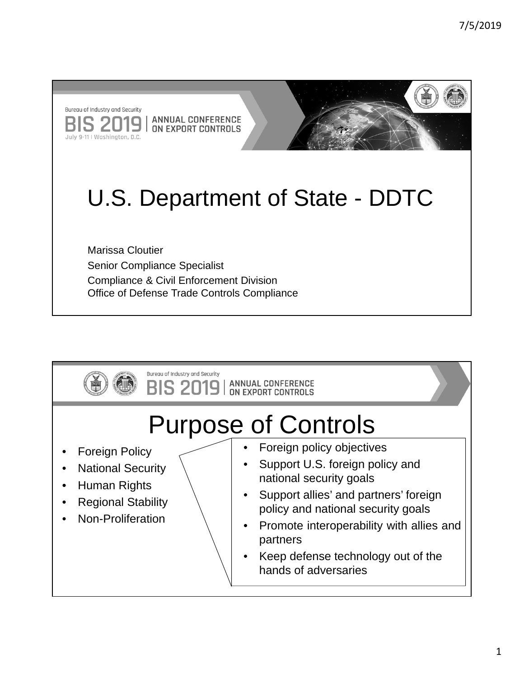Bureau of Industry and Security **S 201 ANNUAL CONFERENCE** 9 ON EXPORT CONTROLS July 9-11 | Washington, D.C.



## U.S. Department of State - DDTC

Marissa Cloutier Senior Compliance Specialist Compliance & Civil Enforcement Division Office of Defense Trade Controls Compliance

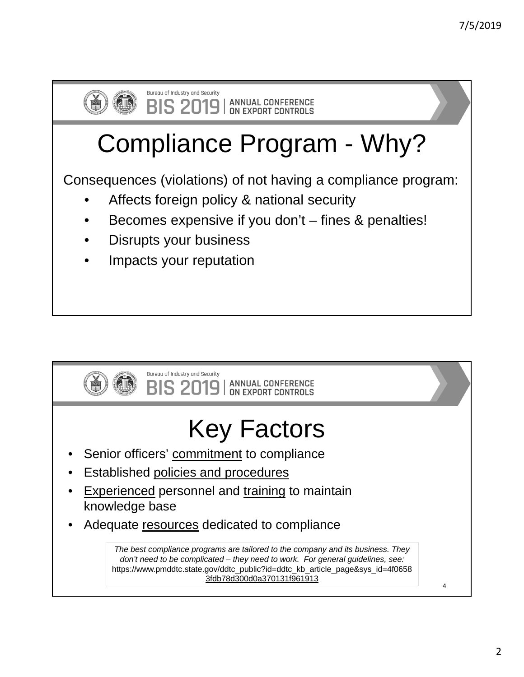